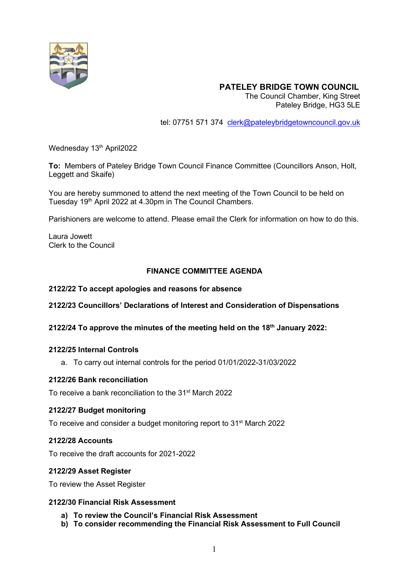

## **PATELEY BRIDGE TOWN COUNCIL**

The Council Chamber, King Street Pateley Bridge, HG3 5LE

tel: 07751 571 374 [clerk@pateleybridgetowncouncil.gov.uk](mailto:clerk@pateleybridgetowncouncil.gov.uk)

Wednesday 13<sup>th</sup> April2022

**To:** Members of Pateley Bridge Town Council Finance Committee (Councillors Anson, Holt, Leggett and Skaife)

You are hereby summoned to attend the next meeting of the Town Council to be held on Tuesday 19<sup>th</sup> April 2022 at 4.30pm in The Council Chambers.

Parishioners are welcome to attend. Please email the Clerk for information on how to do this.

Laura Jowett Clerk to the Council

#### **FINANCE COMMITTEE AGENDA**

#### **2122/22 To accept apologies and reasons for absence**

- **2122/23 Councillors' Declarations of Interest and Consideration of Dispensations**
- **2122/24 To approve the minutes of the meeting held on the 18th January 2022:**

#### **2122/25 Internal Controls**

a. To carry out internal controls for the period 01/01/2022-31/03/2022

#### **2122/26 Bank reconciliation**

To receive a bank reconciliation to the 31<sup>st</sup> March 2022

#### **2122/27 Budget monitoring**

To receive and consider a budget monitoring report to 31<sup>st</sup> March 2022

#### **2122/28 Accounts**

To receive the draft accounts for 2021-2022

#### **2122/29 Asset Register**

To review the Asset Register

### **2122/30 Financial Risk Assessment**

- **a) To review the Council's Financial Risk Assessment**
- **b) To consider recommending the Financial Risk Assessment to Full Council**